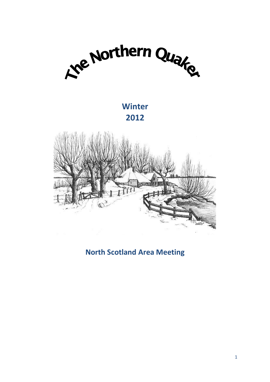

# **Winter 2012**



**North Scotland Area Meeting**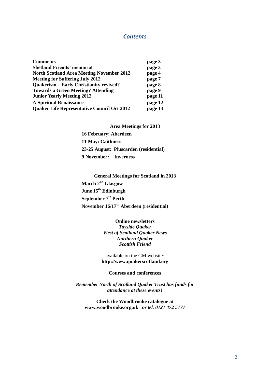# *Contents*

| <b>Comments</b>                                    | page 3  |
|----------------------------------------------------|---------|
| <b>Shetland Friends' memorial</b>                  | page 3  |
| <b>North Scotland Area Meeting November 2012</b>   | page 4  |
| <b>Meeting for Suffering July 2012</b>             | page 7  |
| <b>Quakerism - Early Christianity revived?</b>     | page 8  |
| <b>Towards a Green Meeting? Attending</b>          | page 9  |
| <b>Junior Yearly Meeting 2012</b>                  | page 11 |
| <b>A Spiritual Renaissance</b>                     | page 12 |
| <b>Quaker Life Representative Council Oct 2012</b> | page 13 |

**Area Meetings for 2013**

**16 February: Aberdeen 11 May: Caithness 23-25 August: Pluscarden (residential) 9 November: Inverness**

**General Meetings for Scotland in 2013 March 2nd Glasgow June 15th Edinburgh September 7th Perth November 16/17th Aberdeen (residential)**

> **Online newsletters** *Tayside Quaker West of Scotland Quaker News Northern Quaker Scottish Friend*

available on the GM website: **[http://www.quakerscotland.org](http://www.quakerscotland.org/)**

## **Courses and conferences**

*Remember North of Scotland Quaker Trust has funds for attendance at these events!*

**Check the Woodbrooke catalogue at [www.woodbrooke.org.uk](http://www.woodbrooke.org.uk/)** *or tel. 0121 472 5171*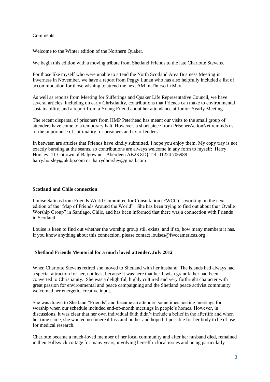# Comments

Welcome to the Winter edition of the Northern Quaker.

We begin this edition with a moving tribute from Shetland Friends to the late Charlotte Stevens.

For those like myself who were unable to attend the North Scotland Area Business Meeting in Inverness in November, we have a report from Peggy Lunan who has also helpfully included a list of accommodation for those wishing to attend the next AM in Thurso in May.

As well as reports from Meeting for Sufferings and Quaker Life Representative Council, we have several articles, including on early Christianity, contributions that Friends can make to environmental sustainability, and a report from a Young Friend about her attendance at Junior Yearly Meeting.

The recent dispersal of prisoners from HMP Peterhead has meant our visits to the small group of attenders have come to a temporary halt. However, a short piece from PrisonerActionNet reminds us of the importance of spirituality for prisoners and ex-offenders.

In between are articles that Friends have kindly submitted. I hope you enjoy them. My copy tray is not exactly bursting at the seams, so contributions are always welcome in any form to myself: Harry Horsley, 11 Cottown of Balgownie, Aberdeen AB23 8JQ Tel. 01224 706989 harry.horsley@uk.bp.com or harrydhorsley@gmail.com

# **Scotland and Chile connection**

Louise Salinas from Friends World Committee for Consultation (FWCC) is working on the next edition of the "Map of Friends Around the World". She has been trying to find out about the "Ovalle Worship Group" in Santiago, Chile, and has been informed that there was a connection with Friends in Scotland.

Louise is keen to find out whether the worship group still exists, and if so, how many members it has. If you know anything about this connection, please contact louises@fwccamericas.org

## **Shetland Friends Memorial for a much loved attender. July 2012**

When Charlotte Stevens retired she moved to Shetland with her husband. The islands had always had a special attraction for her, not least because it was here that her Jewish grandfather had been converted to Christianity. She was a delightful, highly cultured and very forthright character with great passion for environmental and peace campaigning and the Shetland peace activist community welcomed her energetic, creative input.

She was drawn to Shetland "Friends" and became an attender, sometimes hosting meetings for worship when our schedule included end-of-month meetings in people's homes. However, in discussions, it was clear that her own individual faith didn't include a belief in the afterlife and when her time came, she wanted no funereal fuss and bother and hoped if possible for her body to be of use for medical research.

Charlotte became a much-loved member of her local community and after her husband died, remained in their Hillswick cottage for many years, involving herself in local issues and being particularly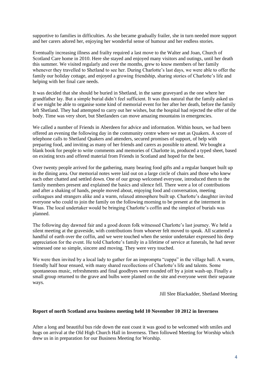supportive to families in difficulties. As she became gradually frailer, she in turn needed more support and her carers adored her, enjoying her wonderful sense of humour and her endless stories.

Eventually increasing illness and frailty required a last move to the Walter and Joan, Church of Scotland Care home in 2010. Here she stayed and enjoyed many visitors and outings, until her death this summer. We visited regularly and over the months, grew to know members of her family whenever they travelled to Shetland to see her. During Charlotte's last days, we were able to offer the family our holiday cottage, and enjoyed a growing friendship, sharing stories of Charlotte's life and helping with her final care needs.

It was decided that she should be buried in Shetland, in the same graveyard as the one where her grandfather lay. But a simple burial didn't feel sufficient. It was thus natural that the family asked us if we might be able to organise some kind of memorial event for her after her death, before the family left Shetland. They had attempted to carry out her wishes, but the hospital had rejected the offer of the body. Time was very short, but Shetlanders can move amazing mountains in emergencies.

We called a number of Friends in Aberdeen for advice and information. Within hours, we had been offered an evening the following day in the community centre where we met as Quakers. A score of telephone calls to Shetland Quakers and attenders, secured promises of support, of help with preparing food, and inviting as many of her friends and carers as possible to attend. We bought a blank book for people to write comments and memories of Charlotte in, produced a typed sheet, based on existing texts and offered material from Friends in Scotland and hoped for the best.

Over twenty people arrived for the gathering, many bearing food gifts and a regular banquet built up in the dining area. Our memorial notes were laid out on a large circle of chairs and those who knew each other chatted and settled down. One of our group welcomed everyone, introduced them to the family members present and explained the basics and silence fell. There were a lot of contributions and after a shaking of hands, people moved about, enjoying food and conversation, meeting colleagues and strangers alike and a warm, relaxed atmosphere built up. Charlotte's daughter invited everyone who could to join the family on the following morning to be present at the interment in Waas. The local undertaker would be bringing Charlotte's coffin and the simplest of burials was planned.

The following day dawned fair and a good dozen folk witnessed Charlotte's last journey. We held a silent meeting at the graveside, with contributions from whoever felt moved to speak. All scattered a handful of earth over the coffin, and we were touched when the senior undertaker expressed his deep appreciation for the event. He told Charlotte's family in a lifetime of service at funerals, he had never witnessed one so simple, sincere and moving. They were very touched.

We were then invited by a local lady to gather for an impromptu "cuppa" in the village hall. A warm, friendly half hour ensued, with many shared recollections of Charlotte's life and talents. Some spontaneous music, refreshments and final goodbyes were rounded off by a joint wash-up. Finally a small group returned to the grave and bulbs were planted on the site and everyone went their separate ways.

Jill Slee Blackadder, Shetland Meeting

## **Report of north Scotland area business meeting held 10 November 10 2012 in Inverness**

After a long and beautiful bus ride down the east coast it was good to be welcomed with smiles and hugs on arrival at the Old High Church Hall in Inverness. Then followed Meeting for Worship which drew us in in preparation for our Business Meeting for Worship.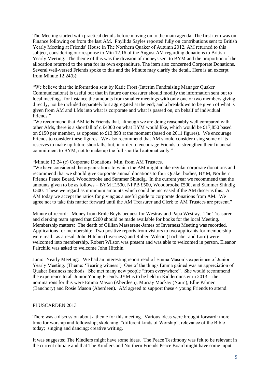The Meeting started with practical details before moving on to the main agenda. The first item was on Finance following on from the last AM. Phyllida Sayles reported fully on contributions sent to British Yearly Meeting at Friends' House in The Northern Quaker of Autumn 2012. AM returned to this subject, considering our response to Min 12.16 of the August AM regarding donations to British Yearly Meeting. The theme of this was the division of moneys sent to BYM and the proportion of the allocation returned to the area for its own expenditure. The item also concerned Corporate Donations. Several well-versed Friends spoke to this and the Minute may clarify the detail. Here is an excerpt from Minute 12.24(b):

"We believe that the information sent by Katie Frost (Interim Fundraising Manager Quaker Communications) is useful but that in future our treasurer should modify the information sent out to local meetings, for instance the amounts from smaller meetings with only one or two members giving directly, not be included separately but aggregated at the end; and a breakdown to be given of what is given from AM and LMs into what is corporate and what is passed on, on behalf of individual Friends."

"We recommend that AM tells Friends that, although we are doing reasonably well compared with other AMs, there is a shortfall of c.£4000 on what BYM would like, which would be £17,850 based on £150 per member, as opposed to £13,893 at the moment (based on 2011 figures). We encourage Friends to consider these figures. We also recommend that AM should consider using some of its reserves to make up future shortfalls, but, in order to encourage Friends to strengthen their financial commitment to BYM, not to make up the full shortfall automatically."

## "Minute 12.24 (c) Corporate Donations: Min. from AM Trustees.

"We have considered the organisations to which the AM might make regular corporate donations and recommend that we should give corporate annual donations to four Quaker bodies, BYM, Northern Friends Peace Board, Woodbrooke and Summer Shindig. In the current year we recommend that the amounts given to be as follows – BYM £1500, NFPB £500, Woodbrooke £500, and Summer Shindig £500. These we regard as minimum amounts which could be increased if the AM discerns this. At AM today we accept the ratios for giving as a useful guide to corporate donations from AM. We agree not to take this matter forward until the AM Treasurer and Clerk to AM Trustees are present."

Minute of record: Money from Ernle Beyts bequest for Westray and Papa Westray. The Treasurer and clerking team agreed that £200 should be made available for books for the local Meeting. Membership matters: The death of Gillian Masserene-James of Inverness Meeting was recorded. Applications for membership: Two positive reports from visitors to two applicants for membership were read: as a result John Hitchin (Inverness) and Robert Wilson (Lochaber and Lorn) were welcomed into membership. Robert Wilson was present and was able to welcomed in person. Eleanor Fairchild was asked to welcome John Hitchin.

Junior Yearly Meeting: We had an interesting report read of Emma Mason's experience of Junior Yearly Meeting. (Theme: 'Bearing witness') One of the things Emma gained was an appreciation of Quaker Business methods. She met many new people "from everywhere". She would recommend the experience to all Junior Young Friends. JYM is to be held in Kidderminster in 2013 – the nominations for this were Emma Mason (Aberdeen), Murray Mackay (Nairn), Ellie Palmer (Banchory) and Rosie Mason (Aberdeen). AM agreed to support these 4 young Friends to attend.

## PLUSCARDEN 2013

There was a discussion about a theme for this meeting. Various ideas were brought forward: more time for worship and fellowship; sketching; "different kinds of Worship"; relevance of the Bible today; singing and dancing; creative writing.

It was suggested The Kindlers might have some ideas. The Peace Testimony was felt to be relevant in the current climate and that The Kindlers and Northern Friends Peace Board might have some input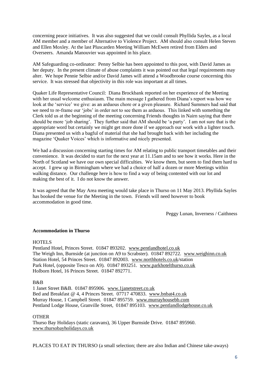concerning peace initiatives. It was also suggested that we could consult Phyllida Sayles, as a local AM member and a member of Alternative to Violence Project. AM should also consult Helen Steven and Ellen Moxley. At the last Pluscarden Meeting William McEwen retired from Elders and Overseers. Amanda Manouvier was appointed in his place.

AM Safeguarding co-ordinator: Penny Selbie has been appointed to this post, with David James as her deputy. In the present climate of abuse complaints it was pointed out that legal requirements may alter. We hope Pennie Selbie and/or David James will attend a Woodbrooke course concerning this service. It was stressed that objectivity in this role was important at all times.

Quaker Life Representative Council: Diana Brockbank reported on her experience of the Meeting with her usual welcome enthusiasm. The main message I gathered from Diana's report was how we look at the 'service' we give: as an arduous chore or a given pleasure. Richard Summers had said that we need to re-frame our 'jobs' in order not to see them as arduous. This linked with something the Clerk told us at the beginning of the meeting concerning Friends thoughts in Nairn saying that there should be more 'job sharing'. They further said that AM should be 'a party'. I am not sure that is the appropriate word but certainly we might get more done if we approach our work with a lighter touch. Diana presented us with a bagful of material that she had brought back with her including the magazine 'Quaker Voices' which is informative and nicely presented.

We had a discussion concerning starting times for AM relating to public transport timetables and their convenience. It was decided to start for the next year at 11.15am and to see how it works. Here in the North of Scotland we have our own special difficulties. We know them, but seem to find them hard to accept. I grew up in Birmingham where we had a choice of half a dozen or more Meetings within walking distance. Our challenge here is how to find a way of being contented with our lot and making the best of it. I do not know the answer.

It was agreed that the May Area meeting would take place in Thurso on 11 May 2013. Phyllida Sayles has booked the venue for the Meeting in the town. Friends will need however to book accommodation in good time.

Peggy Lunan, Inverness / Caithness

## **Accommodation in Thurso**

## HOTELS

Pentland Hotel, Princes Street. 01847 893202. [www.pentlandhotel.co.uk](http://www.pentlandhotel.co.uk/) The Weigh Inn, Burnside (at junction on A9 to Scrabster). 01847 892722. [www.weighinn.co.uk](http://www.weighinn.co.uk/) Station Hotel, 54 Princes Street. 01847 892003. [www.northhotels.co.uk/](http://www.northhotels.co.uk/)station Park Hotel, (opposite Tesco on A9). 01847 893251. [www.parkhotelthurso.co.uk](http://www.parkhotelthurso.co.uk/) Holborn Hotel, 16 Princes Street. 01847 892771.

## B&B

1 Janet Street B&B. 01847 895906. [www.1janetstreet.co.uk](http://www.1janetstreet.co.uk/) Bed and Breakfast @ 4, 4 Princes Street. 07717 470833. [www.bnbat4.co.uk](http://www.bnbat4.co.uk/) Murray House, 1 Campbell Street. 01847 895759. [www.murrayhousebb.com](http://www.murrayhousebb.com/) Pentland Lodge House, Granville Street, 01847 895103. [www.pentlandlodgehouse.co.uk](http://www.pentlandlodgehouse.co.uk/)

#### OTHER

Thurso Bay Holidays (static caravans), 36 Upper Burnside Drive. 01847 895960. [www.thursobayholidays.co.uk](http://www.thursobayholidays.co.uk/)

PLACES TO EAT IN THURSO (a small selection; there are also Indian and Chinese take-aways)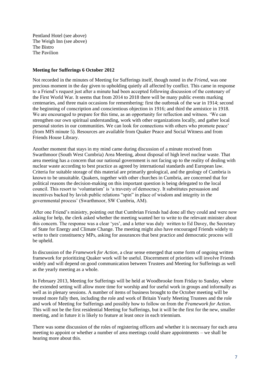Pentland Hotel (see above) The Weigh Inn (see above) The Bistro The Pavilion

# **Meeting for Sufferings 6 October 2012**

Not recorded in the minutes of Meeting for Sufferings itself, though noted in *the Friend*, was one precious moment in the day given to upholding quietly all affected by conflict. This came in response to a Friend's request just after a minute had been accepted following discussion of the centenary of the First World War. It seems that from 2014 to 2018 there will be many public events marking centenaries, and three main occasions for remembering: first the outbreak of the war in 1914; second the beginning of conscription and conscientious objection in 1916; and third the armistice in 1918. We are encouraged to prepare for this time, as an opportunity for reflection and witness. 'We can strengthen our own spiritual understanding, work with other organizations locally, and gather local personal stories in our communities. We can look for connections with others who promote peace' (from MfS minute 5). Resources are available from Quaker Peace and Social Witness and from Friends House Library.

Another moment that stays in my mind came during discussion of a minute received from Swarthmoor (South West Cumbria) Area Meeting, about disposal of high level nuclear waste. That area meeting has a concern that our national government is not facing up to the reality of dealing with nuclear waste according to best practice as agreed by international standards and European law. Criteria for suitable storage of this material are primarily geological, and the geology of Cumbria is known to be unsuitable. Quakers, together with other churches in Cumbria, are concerned that for political reasons the decision-making on this important question is being delegated to the local council. This resort to 'voluntarism' is 'a travesty of democracy. It substitutes persuasion and incentives backed by lavish public relations "spin" in place of wisdom and integrity in the governmental process' (Swarthmoor, SW Cumbria, AM).

After one Friend's ministry, pointing out that Cumbrian Friends had done all they could and were now asking for help, the clerk asked whether the meeting wanted her to write to the relevant minister about this concern. The response was a clear 'yes', and a letter was duly written to Ed Davey, the Secretary of State for Energy and Climate Change. The meeting might also have encouraged Friends widely to write to their constituency MPs, asking for assurances that best practice and democratic process will be upheld.

In discussion of the *Framework for Action*, a clear sense emerged that some form of ongoing written framework for prioritizing Quaker work will be useful. Discernment of priorities will involve Friends widely and will depend on good communication between Trustees and Meeting for Sufferings as well as the yearly meeting as a whole.

In February 2013, Meeting for Sufferings will be held at Woodbrooke from Friday to Sunday, where the extended setting will allow more time for worship and for useful work in groups and informally as well as in plenary sessions. A number of items of business brought to the October meeting will be treated more fully then, including the role and work of Britain Yearly Meeting Trustees and the role and work of Meeting for Sufferings and possibly how to follow on from the *Framework for Action*. This will not be the first residential Meeting for Sufferings, but it will be the first for the new, smaller meeting, and in future it is likely to feature at least once in each triennium.

There was some discussion of the roles of registering officers and whether it is necessary for each area meeting to appoint or whether a number of area meetings could share appointments – we shall be hearing more about this.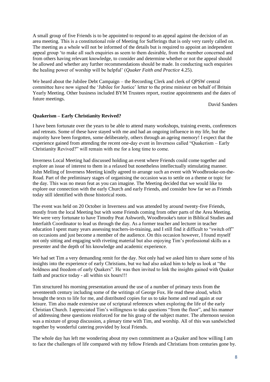A small group of five Friends is to be appointed to respond to an appeal against the decision of an area meeting. This is a constitutional role of Meeting for Sufferings that is only very rarely called on. The meeting as a whole will not be informed of the details but is required to appoint an independent appeal group 'to make all such enquiries as seem to them desirable, from the member concerned and from others having relevant knowledge, to consider and determine whether or not the appeal should be allowed and whether any further recommendations should be made. In conducting such enquiries the healing power of worship will be helpful' (*Quaker Faith and Practice* 4.25).

We heard about the Jubilee Debt Campaign – the Recording Clerk and clerk of OPSW central committee have now signed the 'Jubilee for Justice' letter to the prime minister on behalf of Britain Yearly Meeting. Other business included BYM Trustees report, routine appointments and the dates of future meetings.

David Sanders

## **Quakerism – Early Christianity Revived?**

I have been fortunate over the years to be able to attend many workshops, training events, conferences and retreats. Some of these have stayed with me and had an ongoing influence in my life, but the majority have been forgotten, some deliberately, others through an ageing memory! I expect that the experience gained from attending the recent one-day event in Inverness called "Quakerism – Early Christianity Revived?" will remain with me for a long time to come.

Inverness Local Meeting had discussed holding an event where Friends could come together and explore an issue of interest to them in a relaxed but nonetheless intellectually stimulating manner. John Melling of Inverness Meeting kindly agreed to arrange such an event with Woodbrooke-on-the-Road. Part of the preliminary stages of organising the occasion was to settle on a theme or topic for the day. This was no mean feat as you can imagine. The Meeting decided that we would like to explore our connection with the early Church and early Friends, and consider how far we as Friends today still identified with those historical roots.

The event was held on 20 October in Inverness and was attended by around twenty-five Friends, mostly from the local Meeting but with some Friends coming from other parts of the Area Meeting. We were very fortunate to have Timothy Peat Ashworth, Woodbrooke's tutor in Biblical Studies and Interfaith Coordinator to lead us through the day. As a former teacher and lecturer in teacher education I spent many years assessing teachers-in-training, and I still find it difficult to "switch off" on occasions and just become a member of the audience. On this occasion however, I found myself not only sitting and engaging with riveting material but also enjoying Tim's professional skills as a presenter and the depth of his knowledge and academic experience.

We had set Tim a very demanding remit for the day. Not only had we asked him to share some of his insights into the experience of early Christians, but we had also asked him to help us look at "the boldness and freedom of early Quakers". He was then invited to link the insights gained with Quaker faith and practice today - all within six hours!!!

Tim structured his morning presentation around the use of a number of primary texts from the seventeenth century including some of the writings of George Fox. He read these aloud, which brought the texts to life for me, and distributed copies for us to take home and read again at our leisure. Tim also made extensive use of scriptural references when exploring the life of the early Christian Church. I appreciated Tim's willingness to take questions "from the floor", and his manner of addressing these questions reinforced for me his grasp of the subject matter. The afternoon session was a mixture of group discussion, a plenary time with Tim, and worship. All of this was sandwiched together by wonderful catering provided by local Friends.

The whole day has left me wondering about my own commitment as a Quaker and how willing I am to face the challenges of life compared with my fellow Friends and Christians from centuries gone by.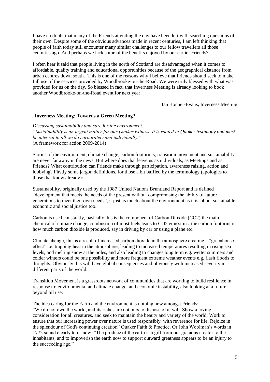I have no doubt that many of the Friends attending the day have been left with searching questions of their own. Despite some of the obvious advances made in recent centuries, I am left thinking that people of faith today still encounter many similar challenges to our fellow travellers all those centuries ago. And perhaps we lack some of the benefits enjoyed by our earlier Friends?

I often hear it said that people living in the north of Scotland are disadvantaged when it comes to affordable, quality training and educational opportunities because of the geographical distance from urban centres down south. This is one of the reasons why I believe that Friends should seek to make full use of the services provided by Woodbrooke-on-the-Road. We were truly blessed with what was provided for us on the day. So blessed in fact, that Inverness Meeting is already looking to book another Woodbrooke-on-the-Road event for next year!

Ian Bonner-Evans, Inverness Meeting

## **Inverness Meeting; Towards a Green Meeting?**

*Discussing sustainability and care for the environment. "Sustainability is an urgent matter for our Quaker witness. It is rooted in Quaker testimony and must be integral to all we do corporately and individually."* (A framework for action 2009-2014)

Stories of the environment, climate change, carbon footprints, transition movement and sustainability are never far away in the news. But where does that leave us as individuals, as Meetings and as Friends? What contribution can Friends make through participation, awareness raising, action and lobbying? Firstly some jargon definitions, for those a bit baffled by the terminology (apologies to those that know already):

Sustainability, originally used by the 1987 United Nations Bruntland Report and is defined "development that meets the needs of the present without compromising the ability of future generations to meet their own needs", it just as much about the environment as it is about sustainable economic and social justice too.

Carbon is used constantly, basically this is the component of Carbon Dioxide (CO2) the main chemical of climate change, combustion of most fuels leads to CO2 emissions, the carbon footprint is how much carbon dioxide is produced, say in driving by car or using a plane etc.

Climate change, this is a result of increased carbon dioxide in the atmosphere creating a "greenhouse effect" i.e. trapping heat in the atmosphere, leading to increased temperatures resulting in rising sea levels, and melting snow at the poles, and also leading to changes long term e.g. wetter summers and colder winters could be one possibility and more frequent extreme weather events e.g. flash floods to droughts. Obviously this will have global consequences and obviously with increased severity in different parts of the world.

Transition Movement is a grassroots network of communities that are working to build resilience in response to: environmental and climate change, and economic instability, also looking at a future beyond oil use.

The idea caring for the Earth and the environment is nothing new amongst Friends:

"We do not own the world, and its riches are not ours to dispose of at will. Show a loving consideration for all creatures, and seek to maintain the beauty and variety of the world. Work to ensure that our increasing power over nature is used responsibly, with reverence for life. Rejoice in the splendour of God's continuing creation" Quaker Faith & Practice. Or John Woolman's words in 1772 sound clearly to us now: "The produce of the earth is a gift from our gracious creator to the inhabitants, and to impoverish the earth now to support outward greatness appears to be an injury to the succeeding age."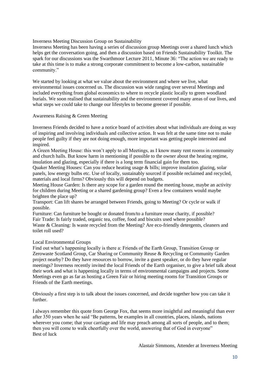Inverness Meeting Discussion Group on Sustainability

Inverness Meeting has been having a series of discussion group Meetings over a shared lunch which helps get the conversation going, and then a discussion based on Friends Sustainability Toolkit. The spark for our discussions was the Swarthmoor Lecture 2011, Minute 36: "The action we are ready to take at this time is to make a strong corporate commitment to become a low-carbon, sustainable community."

We started by looking at what we value about the environment and where we live, what environmental issues concerned us. The discussion was wide ranging over several Meetings and included everything from global economics to where to recycle plastic locally to green woodland burials. We soon realised that sustainability and the environment covered many areas of our lives, and what steps we could take to change our lifestyles to become greener if possible.

#### Awareness Raising & Green Meeting

Inverness Friends decided to have a notice board of activities about what individuals are doing as way of inspiring and involving individuals and collective action. It was felt at the same time not to make people feel guilty if they are not doing enough, more important was getting people interested and inspired.

A Green Meeting House: this won't apply to all Meetings, as I know many rent rooms in community and church halls. But know harm in mentioning if possible to the owner about the heating regime, insulation and glazing, especially if there is a long term financial gain for them too.

Quaker Meeting Houses: Can you reduce heating usage & bills; improve insulation glazing, solar panels, low energy bulbs etc. Use of locally, sustainably sourced if possible reclaimed and recycled, materials and local firms? Obviously this will depend on budgets.

Meeting House Garden: Is there any scope for a garden round the meeting house, maybe an activity for children during Meeting or a shared gardening group? Even a few containers would maybe brighten the place up?

Transport: Can lift shares be arranged between Friends, going to Meeting? Or cycle or walk if possible.

Furniture: Can furniture be bought or donated from/to a furniture reuse charity, if possible? Fair Trade: Is fairly traded, organic tea, coffee, food and biscuits used where possible? Waste & Cleaning: Is waste recycled from the Meeting? Are eco-friendly detergents, cleaners and toilet roll used?

## Local Environmental Groups

Find out what's happening locally is there a: Friends of the Earth Group, Transition Group or Zerowaste Scotland Group, Car Sharing or Community Reuse & Recycling or Community Garden project nearby? Do they have resources to borrow, invite a guest speaker, or do they have regular meetings? Inverness recently invited the local Friends of the Earth organiser, to give a brief talk about their work and what is happening locally in terms of environmental campaigns and projects. Some Meetings even go as far as hosting a Green Fair or hiring meeting rooms for Transition Groups or Friends of the Earth meetings.

Obviously a first step is to talk about the issues concerned, and decide together how you can take it further.

I always remember this quote from George Fox, that seems more insightful and meaningful than ever after 350 years when he said "Be patterns, be examples in all countries, places, islands, nations wherever you come; that your carriage and life may preach among all sorts of people, and to them; then you will come to walk cheerfully over the world, answering that of God in everyone" Best of luck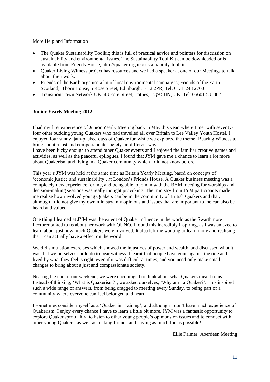More Help and Information

- The Quaker Sustainability Toolkit; this is full of practical advice and pointers for discussion on sustainability and environmental issues. The Sustainability Tool Kit can be downloaded or is available from Friends House, http://quaker.org.uk/sustainability-toolkit
- Quaker Living Witness project has resources and we had a speaker at one of our Meetings to talk about their work.
- Friends of the Earth organise a lot of local environmental campaigns; Friends of the Earth Scotland, Thorn House, 5 Rose Street, Edinburgh, EH2 2PR, Tel: 0131 243 2700
- Transition Town Network UK, 43 Fore Street, Totnes, TQ9 5HN, UK, Tel: 05601 531882

# **Junior Yearly Meeting 2012**

I had my first experience of Junior Yearly Meeting back in May this year, where I met with seventyfour other budding young Quakers who had travelled all over Britain to Lee Valley Youth Hostel. I enjoyed four sunny, jam-packed days of Quaker fun while we explored the theme 'Bearing Witness to bring about a just and compassionate society' in different ways.

I have been lucky enough to attend other Quaker events and I enjoyed the familiar creative games and activities, as well as the peaceful epilogues. I found that JYM gave me a chance to learn a lot more about Quakerism and living in a Quaker community which I did not know before.

This year's JYM was held at the same time as Britain Yearly Meeting, based on concepts of 'economic justice and sustainability', at London's Friends House. A Quaker business meeting was a completely new experience for me, and being able to join in with the BYM meeting for worships and decision-making sessions was really thought provoking. The ministry from JYM participants made me realise how involved young Quakers can be in the community of British Quakers and that, although I did not give my own ministry, my opinions and issues that are important to me can also be heard and valued.

One thing I learned at JYM was the extent of Quaker influence in the world as the Swarthmore Lecturer talked to us about her work with QUNO. I found this incredibly inspiring, as I was amazed to learn about just how much Quakers were involved. It also left me wanting to learn more and realising that I can actually have a effect on the world.

We did simulation exercises which showed the injustices of power and wealth, and discussed what it was that we ourselves could do to bear witness. I learnt that people have gone against the tide and lived by what they feel is right, even if it was difficult at times, and you need only make small changes to bring about a just and compassionate society.

Nearing the end of our weekend, we were encouraged to think about what Quakers meant to us. Instead of thinking, 'What is Quakerism?', we asked ourselves, 'Why am I a Quaker?'. This inspired such a wide range of answers, from being dragged to meeting every Sunday, to being part of a community where everyone can feel belonged and heard.

I sometimes consider myself as a 'Quaker in Training', and although I don't have much experience of Quakerism, I enjoy every chance I have to learn a little bit more. JYM was a fantastic opportunity to explore Quaker spirituality, to listen to other young people's opinions on issues and to connect with other young Quakers, as well as making friends and having as much fun as possible!

Ellie Palmer, Aberdeen Meeting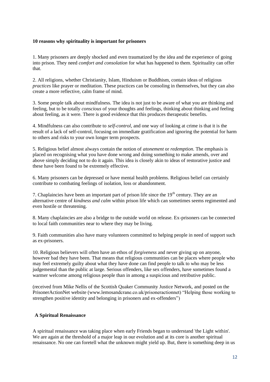# **10 reasons why spirituality is important for prisoners**

1. Many prisoners are deeply shocked and even traumatized by the idea and the experience of going into prison. They need *comfort and consolation* for what has happened to them. Spirituality can offer that.

2. All religions, whether Christianity, Islam, Hinduism or Buddhism, contain ideas of religious *practices* like prayer or meditation. These practices can be consoling in themselves, but they can also create a more reflective, calm frame of mind.

3. Some people talk about mindfulness. The idea is not just to be aware of what you are thinking and feeling, but to be totally *conscious* of your thoughts and feelings, thinking about thinking and feeling about feeling, as it were. There is good evidence that this produces therapeutic benefits.

4. Mindfulness can also contribute to *self-control*, and one way of looking at crime is that it is the result of a lack of self-control, focusing on immediate gratification and ignoring the potential for harm to others and risks to your own longer term prospects.

5. Religious belief almost always contain the notion of *atonement* or *redemption.* The emphasis is placed on recognising what you have done wrong and doing something to make amends, over and above simply deciding not to do it again. This idea is closely akin to ideas of restorative justice and these have been found to be extremely effective.

6. Many prisoners can be depressed or have mental health problems. Religious belief can certainly contribute to combating feelings of isolation, loss or abandonment.

7. Chaplaincies have been an important part of prison life since the  $19<sup>th</sup>$  century. They are an alternative centre of *kindness and calm* within prison life which can sometimes seems regimented and even hostile or threatening.

8. Many chaplaincies are also a bridge to the outside world on release. Ex-prisoners can be connected to local faith communities near to where they may be living.

9. Faith communities also have many volunteers committed to helping people in need of support such as ex-prisoners.

10. Religious believers will often have an ethos of *forgiveness* and never giving up on anyone, however bad they have been. That means that religious communities can be places where people who may feel extremely guilty about what they have done can find people to talk to who may be less judgemental than the public at large. Serious offenders, like sex offenders, have sometimes found a warmer welcome among religious people than in among a suspicious and retributive public.

(received from Mike Nellis of the Scottish Quaker Community Justice Network, and posted on the PrisonerActionNet website (www.lemosandcrane.co.uk/prisoneractionnet) "Helping those working to strengthen positive identity and belonging in prisoners and ex-offenders")

## **A Spiritual Renaissance**

A spiritual renaissance was taking place when early Friends began to understand 'the Light within'. We are again at the threshold of a major leap in our evolution and at its core is another spiritual renaissance. No one can foretell what the unknown might yield up. But, there is something deep in us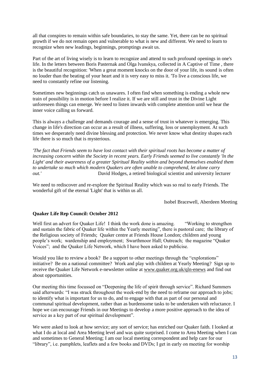all that conspires to remain within safe boundaries, to stay the same. Yet, there can be no spiritual growth if we do not remain open and vulnerable to what is new and different. We need to learn to recognize when new leadings, beginnings, promptings await us.

Part of the art of living wisely is to learn to recognize and attend to such profound openings in one's life. In the letters between Boris Pasternak and Olga lvanskya, collected in A Captive of Time , there is the beautiful recognition: 'When a great moment knocks on the door of your life, its sound is often no louder than the beating of your heart and it is very easy to miss it. 'To live a conscious life, we need to constantly refine our listening.

Sometimes new beginnings catch us unawares. I often find when something is ending a whole new train of possibility is in motion before I realize it. If we are still and trust in the Divine Light unforeseen things can emerge. We need to listen inwards with complete attention until we hear the inner voice calling us forward.

This is always a challenge and demands courage and a sense of trust in whatever is emerging. This change in life's direction can occur as a result of illness, suffering, loss or unemployment. At such times we desperately need divine blessing and protection. We never know what destiny shapes each life there is so much that is mysterious.

*'The fact that Friends seem to have lost contact with their spiritual roots has become a matter of increasing concern within the Society in recent years. Early Friends seemed to live constantly 'ln the Light' and their awareness of a greater Spiritual Reality within and beyond themselves enabled them to undertake so much which modern Quakers are often unable to comprehend, let alone carry out.'* David Hodges, a retired biological scientist and university lecturer

We need to rediscover and re-explore the Spiritual Reality which was so real to early Friends. The wonderful gift of the eternal 'Light' that is within us all.

Isobel Bracewell, Aberdeen Meeting

## **Quaker Life Rep Council: October 2012**

Well first an advert for Quaker Life! I think the work done is amazing. "Working to strengthen and sustain the fabric of Quaker life within the Yearly meeting", there is pastoral care; the library of the Religious society of Friends; Quaker centre at Friends House London; children and young people's work; wardenship and employment; Swarthmoor Hall; Outreach; the magazine "Quaker Voices"; and the Quaker Life Network, which I have been asked to publicise.

Would you like to review a book? Be a support to other meetings through the "explorations" initiative? Be on a national committee? Work and play with children at Yearly Meeting? Sign up to receive the Quaker Life Network e-newsletter online at [www.quaker.org.uk/qln-enews](http://www.quaker.org.uk/qln-enews) and find out about opportunities.

Our meeting this time focussed on "Deepening the life of spirit through service". Richard Summers said afterwards: "I was struck throughout the week-end by the need to reframe our approach to jobs; to identify what is important for us to do, and to engage with that as part of our personal and communal spiritual development, rather than as burdensome tasks to be undertaken with reluctance. I hope we can encourage Friends in our Meetings to develop a more positive approach to the idea of service as a key part of our spiritual development".

We were asked to look at how service; any sort of service; has enriched our Quaker faith. I looked at what I do at local and Area Meeting level and was quite surprised. I come to Area Meeting when I can and sometimes to General Meeting; I am our local meeting correspondent and help care for our "library", i.e. pamphlets, leaflets and a few books and DVDs; I get in early on meeting for worship